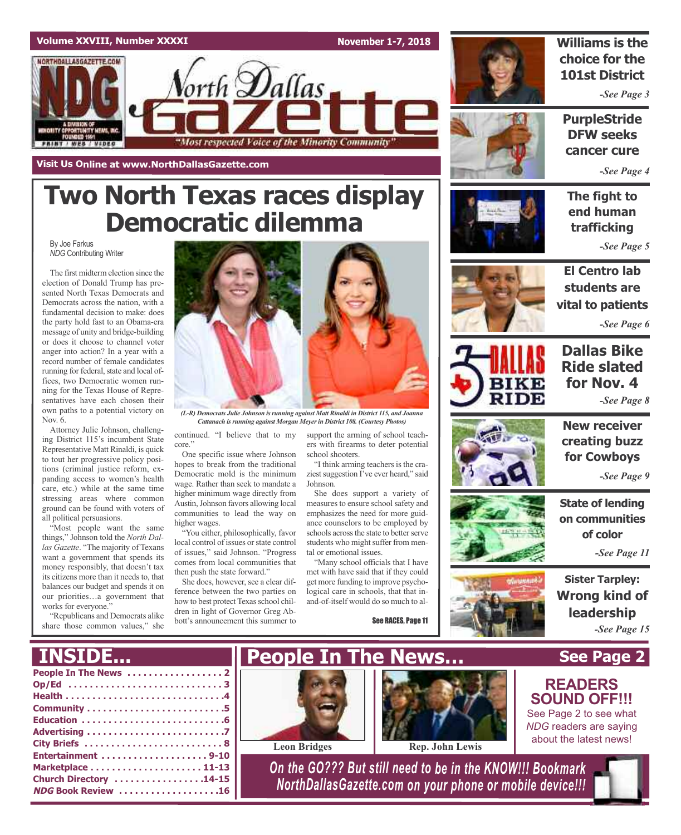**November 1-7, 2018**



### **Williams is the choice for the 101st District**

*-See Page 3*

**PurpleStride DFW seeks cancer cure**

*-See Page 4*

**The fight to end human trafficking**

*-See Page 5*



*-See Page 6*



**New receiver creating buzz** *-See Page 8*

**for Cowboys**

*-See Page 9*

**State of lending on communities of color**

*-See Page 11*

**Sister Tarpley: Wrong kind of leadership** *-See Page 15*

**See Page 2**

**READERS SOUND OFF!!!** See Page 2 to see what *NDG* readers are saying about the latest news!







election of Donald Trump has presented North Texas Democrats and Democrats across the nation, with a fundamental decision to make: does the party hold fast to an Obama-era message of unity and bridge-building or does it choose to channel voter anger into action? In a year with a record number of female candidates running for federal, state and local offices, two Democratic women running for the Texas House of Representatives have each chosen their own paths to a potential victory on Attorney Julie Johnson, challenging District 115's incumbent State Representative Matt Rinaldi, is quick to tout her progressive policy posicontinued. "I believe that to my core." One specific issue where Johnson school shooters. *(L-R) Democrats Julie Johnson isrunning against Matt Rinaldi in District 115, and Joanna Cattanach isrunning against Morgan Meyerin District 108. (Courtesy Photos)*

hopes to break from the traditional Democratic mold is the minimum wage. Rather than seek to mandate a higher minimum wage directly from Austin,Johnson favors allowing local communities to lead the way on higher wages.

**Two North Texas races display**

orth **D**allas

"Most respected Voice of the Minority Community

**Democratic dilemma**

"You either, philosophically, favor local control of issues or state control of issues," said Johnson. "Progress comes from local communities that then push the state forward."

She does, however, see a clear difference between the two parties on how to best protect Texas school children in light of Governor Greg Abbott's announcement this summer to

support the arming of school teachers with firearms to deter potential

"I think arming teachers is the craziest suggestion I've ever heard," said Johnson.

She does support a variety of measures to ensure school safety and emphasizes the need for more guidance counselors to be employed by schools across the state to better serve students who might suffer from mental or emotional issues.

"Many school officials that I have met with have said that if they could get more funding to improve psychological care in schools, that that inand-of-itself would do so much to al-

See RACES, Page 11



**People In The News . . . . . . . . . . . . . . . . . . 2 Op/Ed . . . . . . . . . . . . . . . . . . . . . . . . . . . . . 3 Health . . . . . . . . . . . . . . . . . . . . . . . . . . . . . .4 Community . . . . . . . . . . . . . . . . . . . . . . . . . .5 Education . . . . . . . . . . . . . . . . . . . . . . . . . . .6 Advertising . . . . . . . . . . . . . . . . . . . . . . . . . .7 City Briefs . . . . . . . . . . . . . . . . . . . . . . . . . . 8 Entertainment . . . . . . . . . . . . . . . . . . . . 9-10 Marketplace . . . . . . . . . . . . . . . . . . . . . 11-13 Church Directory . . . . . . . . . . . . . . . . .14-15 NDG Book Review . . . . . . . . . . . . . . . . . . .16 INSIDE...**





**Leon Bridges Rep. John Lewis**

*On the GO??? But still need to be in the KNOW!!! Bookmark NorthDallasGazette.com on your phone or mobile device!!!*















**Volume XXVIII, Number XXXXI**

NORTHDALLASGAZETTE.COM

By Joe Farkus

Nov. 6.

*NDG* Contributing Writer

The first midterm election since the

**Visit Us Online at www.NorthDallasGazette.com**

tions (criminal justice reform, expanding access to women's health care, etc.) while at the same time stressing areas where common ground can be found with voters of

"Most people want the same things," Johnson told the *North Dallas Gazette*. "The majority of Texans want a government that spends its money responsibly, that doesn't tax its citizens more than it needs to, that balances our budget and spends it on our priorities…a government that

"Republicans and Democrats alike share those common values," she

all political persuasions.

works for everyone."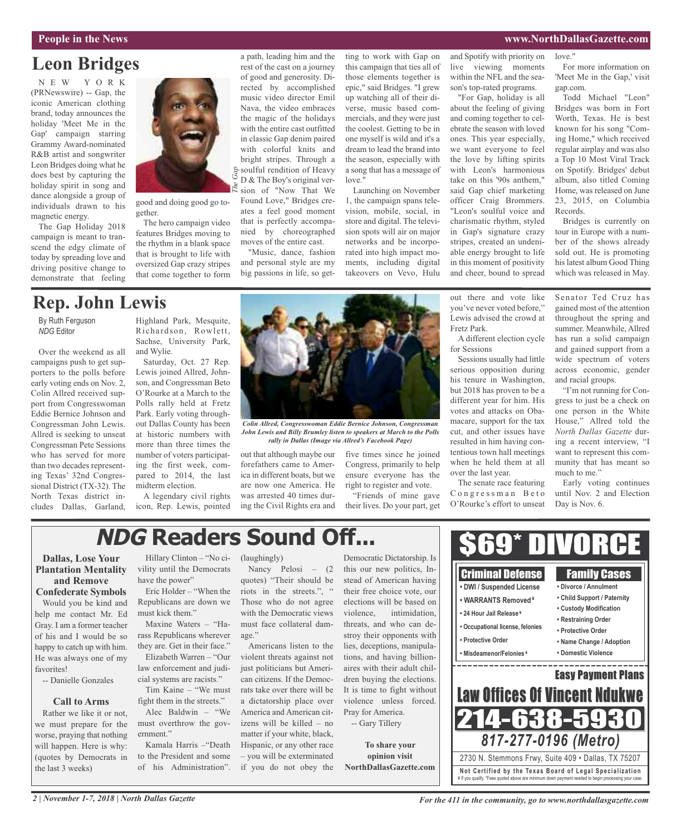### **People in the News www.NorthDallasGazette.com**

love."

### **Leon Bridges**

N E W Y O R K (PRNewswire) -- Gap, the iconic American clothing brand, today announces the holiday 'Meet Me in the Gap' campaign starring Grammy Award-nominated R&B artist and songwriter Leon Bridges doing what he does best by capturing the holiday spirit in song and dance alongside a group of individuals drawn to his magnetic energy.

The Gap Holiday 2018 campaign is meant to transcend the edgy climate of today by spreading love and driving positive change to demonstrate that feeling



good and doing good go together.

The hero campaign video features Bridges moving to the rhythm in a blank space that is brought to life with oversized Gap crazy stripes that come together to form

a path, leading him and the rest of the cast on a journey of good and generosity. Directed by accomplished music video director Emil Nava, the video embraces the magic of the holidays with the entire cast outfitted in classic Gap denim paired with colorful knits and bright stripes. Through a  $\frac{1}{\sqrt{2}}$  soulful rendition of Heavy D & The Boy's original ver-Social Solution of Heavy<br>  $\sum_{k=1}^{\infty}$  **D** & The Boy's original ver-<br>  $\sum_{k=1}^{\infty}$  sion of "Now That We Found Love," Bridges creates a feel good moment that is perfectly accompanied by choreographed

moves of the entire cast. "Music, dance, fashion and personal style are my big passions in life, so getting to work with Gap on this campaign that ties all of those elements together is epic," said Bridges. "I grew up watching all of their diverse, music based commercials, and they were just the coolest. Getting to be in one myself is wild and it's a dream to lead the brand into the season, especially with a song that has a message of love."

Launching on November 1, the campaign spans television, mobile, social, in store and digital. The television spots will air on major networks and be incorporated into high impact moments, including digital takeovers on Vevo, Hulu

and Spotify with priority on live viewing moments within the NFL and the season's top-rated programs.

"For Gap, holiday is all about the feeling of giving and coming together to celebrate the season with loved ones. This year especially, we want everyone to feel the love by lifting spirits with Leon's harmonious take on this '90s anthem," said Gap chief marketing officer Craig Brommers. "Leon's soulful voice and charismatic rhythm, styled in Gap's signature crazy stripes, created an undeniable energy brought to life in this moment of positivity and cheer, bound to spread

out there and vote like you've never voted before," Lewis advised the crowd at

Fretz Park.

for Sessions

over the last year.

The senate race featuring Congressman Beto O'Rourke's effort to unseat

For more information on 'Meet Me in the Gap,' visit gap.com. Todd Michael "Leon"

Bridges was born in Fort Worth, Texas. He is best known for his song "Coming Home," which received regular airplay and was also a Top 10 Most Viral Track on Spotify. Bridges' debut album, also titled Coming Home, was released on June 23, 2015, on Columbia Records.

Bridges is currently on tour in Europe with a number of the shows already sold out. He is promoting his latest album Good Thing which was released in May.

Senator Ted Cruz has gained most of the attention throughout the spring and summer. Meanwhile, Allred

### **Rep. John Lewis**

By Ruth Ferguson *NDG* Editor

Over the weekend as all campaigns push to get supporters to the polls before early voting ends on Nov. 2, Colin Allred received support from Congresswoman Eddie Bernice Johnson and Congressman John Lewis. Allred is seeking to unseat Congressman Pete Sessions who has served for more than two decades representing Texas' 32nd Congressional District (TX-32). The North Texas district includes Dallas, Garland,

Highland Park, Mesquite, Richardson, Rowlett, Sachse, University Park, and Wylie.

Saturday, Oct. 27 Rep. Lewis joined Allred, Johnson, and Congressman Beto O'Rourke at a March to the Polls rally held at Fretz Park. Early voting throughout Dallas County has been at historic numbers with more than three times the number of voters participating the first week, compared to 2014, the last midterm election.

A legendary civil rights icon, Rep. Lewis, pointed



*Colin Allred, Congresswoman Eddie Bernice Johnson, Congressman John Lewis and Billy Brumley listen to speakers at March to the Polls rally in Dallas (Image via Allred's Facebook Page)*

out that although maybe our forefathers came to America in different boats, but we are now one America. He was arrested 40 times during the Civil Rights era and

five times since he joined Congress, primarily to help ensure everyone has the right to register and vote. "Friends of mine gave

their lives. Do your part, get

# **NDG Readers Sound Off...**

### **Dallas, Lose Your Plantation Mentality and Remove**

**Confederate Symbols**

Would you be kind and help me contact Mr. Ed Gray. I am a former teacher of his and I would be so happy to catch up with him. He was always one of my favorites!

-- Danielle Gonzales

### **Call to Arms**

Rather we like it or not, we must prepare for the worse, praying that nothing will happen. Here is why: (quotes by Democrats in the last 3 weeks)

Hillary Clinton – "No civility until the Democrats have the power"

Eric Holder – "When the Republicans are down we must kick them."

Maxine Waters – "Harass Republicans wherever they are. Get in their face."

Elizabeth Warren – "Our law enforcement and judicial systems are racists."

Tim Kaine – "We must fight them in the streets." Alec Baldwin – "We must overthrow the government."

Kamala Harris –"Death to the President and some of his Administration". (laughingly)

Nancy Pelosi – (2 quotes) "Their should be riots in the streets.", " Those who do not agree with the Democratic views must face collateral damage"

Americans listen to the violent threats against not just politicians but American citizens. If the Democrats take over there will be a dictatorship place over America and American citizens will be killed – no matter if your white, black, Hispanic, or any other race – you will be exterminated if you do not obey the

Democratic Dictatorship. Is this our new politics, Instead of American having their free choice vote, our elections will be based on violence, intimidation, threats, and who can destroy their opponents with lies, deceptions, manipulations, and having billionaires with their adult children buying the elections. It is time to fight without violence unless forced. Pray for America.

-- Gary Tillery

**To share your opinion visit NorthDallasGazette.com**

A different election cycle Sessions usually had little serious opposition during his tenure in Washington, but 2018 has proven to be a different year for him. His votes and attacks on Obamacare, support for the tax cut, and other issues have resulted in him having contentious town hall meetings when he held them at all has run a solid campaign and gained support from a wide spectrum of voters across economic, gender and racial groups. "I'm not running for Congress to just be a check on one person in the White House," Allred told the *North Dallas Gazette* during a recent interview, "I want to represent this community that has meant so

much to me." Early voting continues until Nov. 2 and Election Day is Nov. 6.

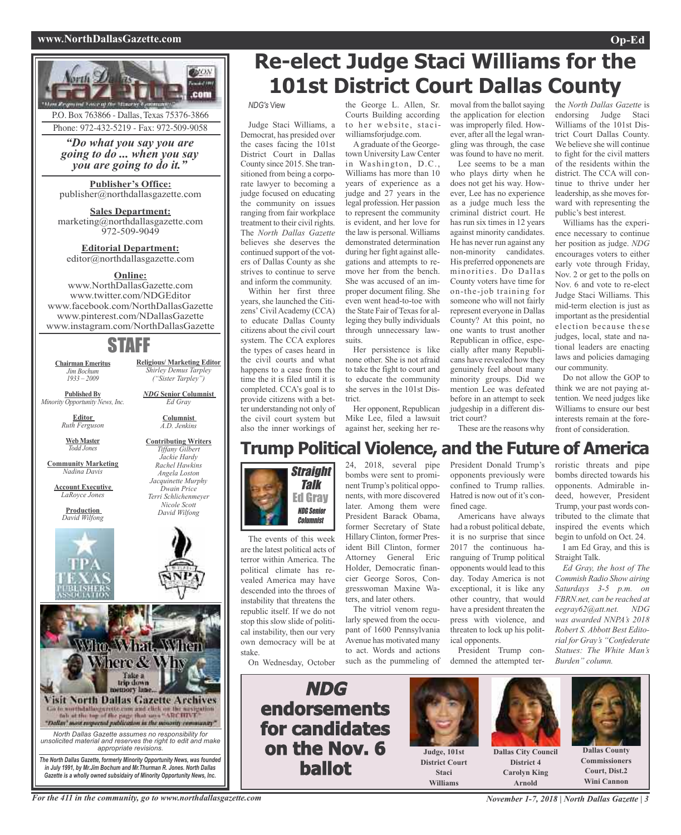### **www.NorthDallasGazette.com Op-Ed**



# **Re-elect Judge Staci Williams for the 101st District Court Dallas County**

*NDG's* View

Judge Staci Williams, a Democrat, has presided over the cases facing the 101st District Court in Dallas County since 2015. She transitioned from being a corporate lawyer to becoming a judge focused on educating the community on issues ranging from fair workplace treatment to their civil rights. The *North Dallas Gazette* believes she deserves the continued support of the voters of Dallas County as she strives to continue to serve and inform the community.

Within her first three years, she launched the Citizens' Civil Academy (CCA) to educate Dallas County citizens about the civil court system. The CCA explores the types of cases heard in the civil courts and what happens to a case from the time the it is filed until it is completed. CCA's goal is to provide citizens with a better understanding not only of the civil court system but also the inner workings of

the George L. Allen, Sr. moval from the ballot saying Courts Building according to her website, staciwilliamsforjudge.com.

A graduate of the Georgetown University Law Center in Washington, D.C., Williams has more than 10 years of experience as a judge and 27 years in the legal profession. Her passion to represent the community is evident, and her love for the law is personal. Williams demonstrated determination during her fight against allegations and attempts to remove her from the bench. She was accused of an improper document filing. She even went head-to-toe with the State Fair of Texas for alleging they bully individuals through unnecessary lawsuits.

Her persistence is like none other. She is not afraid to take the fight to court and to educate the community she serves in the 101st District.

Her opponent, Republican Mike Lee, filed a lawsuit against her, seeking her rethe application for election was improperly filed. However, after all the legal wrangling was through, the case was found to have no merit.

Lee seems to be a man who plays dirty when he does not get his way. However, Lee has no experience as a judge much less the criminal district court. He has run six times in 12 years against minority candidates. He has never run against any non-minority candidates. His preferred opponenets are minorities. Do Dallas County voters have time for on-the-job training for someone who will not fairly represent everyone in Dallas County? At this point, no one wants to trust another Republican in office, especially after many Republicans have revealed how they genuinely feel about many minority groups. Did we mention Lee was defeated before in an attempt to seek judgeship in a different district court?

the *North Dallas Gazette* is endorsing Judge Staci Williams of the 101st District Court Dallas County. We believe she will continue to fight for the civil matters of the residents within the district. The CCA will continue to thrive under her leadership, as she moves forward with representing the public's best interest.

Williams has the experience necessary to continue her position as judge. *NDG* encourages voters to either early vote through Friday, Nov. 2 or get to the polls on Nov. 6 and vote to re-elect Judge Staci Williams. This mid-term election is just as important as the presidential election because these judges, local, state and national leaders are enacting laws and policies damaging our community.

Do not allow the GOP to think we are not paying attention. We need judges like Williams to ensure our best interests remain at the forefront of consideration.

These are the reasons why

## **Trump Political Violence, and the Future of America**

Straight Talk Ed Gray NDG Senior **Columnist** 

The events of this week are the latest political acts of terror within America. The political climate has revealed America may have descended into the throes of instability that threatens the republic itself. If we do not stop this slow slide of political instability, then our very own democracy will be at stake.

On Wednesday, October

24, 2018, several pipe bombs were sent to prominent Trump's political opponents, with more discovered later. Among them were President Barack Obama, former Secretary of State Hillary Clinton, former President Bill Clinton, former Attorney General Eric Holder, Democratic financier George Soros, Congresswoman Maxine Waters, and later others.

The vitriol venom regularly spewed from the occupant of 1600 Pennsylvania Avenue has motivated many to act. Words and actions such as the pummeling of President Donald Trump's opponents previously were confined to Trump rallies. Hatred is now out of it's confined cage.

Americans have always had a robust political debate, it is no surprise that since 2017 the continuous haranguing of Trump political opponents would lead to this day. Today America is not exceptional, it is like any other country, that would have a president threaten the press with violence, and threaten to lock up his political opponents.

President Trump condemned the attempted terroristic threats and pipe bombs directed towards his opponents. Admirable indeed, however, President Trump, your past words contributed to the climate that inspired the events which begin to unfold on Oct. 24. I am Ed Gray, and this is

Straight Talk.

*Ed Gray, the host of The Commish Radio Show airing Saturdays 3-5 p.m. on FBRN.net, can be reached at eegray62@att.net. NDG was awarded NNPA's 2018 Robert S. Abbott Best Editorial for Gray's "Confederate Statues: The White Man's Burden" column.*





**Judge, 101st District Court Staci Williams**



**Arnold**



**Dallas County Commissioners Court, Dist.2 Wini Cannon**

For the 411 in the community, go to www.northdallasgazette.com November 1-7, 2018 | North Dallas Gazette | 3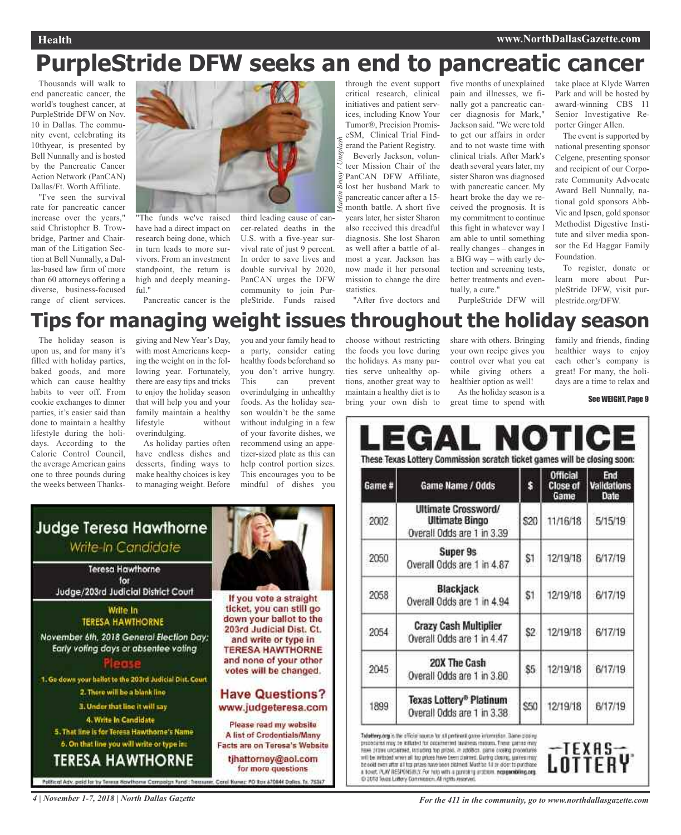# **PurpleStride DFW seeks an end to pancreatic cancer**

Thousands will walk to end pancreatic cancer, the world's toughest cancer, at PurpleStride DFW on Nov. 10 in Dallas. The community event, celebrating its 10thyear, is presented by Bell Nunnally and is hosted by the Pancreatic Cancer Action Network (PanCAN) Dallas/Ft. Worth Affiliate.

"I've seen the survival rate for pancreatic cancer increase over the years," said Christopher B. Trowbridge, Partner and Chairman of the Litigation Section at Bell Nunnally, a Dallas-based law firm of more than 60 attorneys offering a diverse, business-focused range of client services.



"The funds we've raised have had a direct impact on research being done, which in turn leads to more survivors. From an investment standpoint, the return is high and deeply meaningful."

Pancreatic cancer is the

### third leading cause of cancer-related deaths in the U.S. with a five-year survival rate of just 9 percent. In order to save lives and double survival by 2020, PanCAN urges the DFW community to join PurpleStride. Funds raised

*Martin Brosy / Unsplash* through the event support critical research, clinical initiatives and patient services, including Know Your Tumor®, Precision PromiseSM, Clinical Trial Finderand the Patient Registry. Beverly Jackson, volunteer Mission Chair of the PanCAN DFW Affiliate, lost her husband Mark to pancreatic cancer after a 15 month battle. A short five

years later, her sister Sharon also received this dreadful diagnosis. She lost Sharon as well after a battle of almost a year. Jackson has now made it her personal mission to change the dire statistics.

"After five doctors and

five months of unexplained pain and illnesses, we finally got a pancreatic cancer diagnosis for Mark," Jackson said. "We were told to get our affairs in order and to not waste time with clinical trials. After Mark's death several years later, my sister Sharon was diagnosed with pancreatic cancer. My heart broke the day we received the prognosis. It is my commitment to continue this fight in whatever way I am able to until something really changes – changes in a BIG way – with early detection and screening tests, better treatments and eventually, a cure." PurpleStride DFW will

take place at Klyde Warren Park and will be hosted by award-winning CBS 11 Senior Investigative Reporter Ginger Allen.

The event is supported by national presenting sponsor Celgene, presenting sponsor and recipient of our Corporate Community Advocate Award Bell Nunnally, national gold sponsors Abb-Vie and Ipsen, gold sponsor Methodist Digestive Institute and silver media sponsor the Ed Haggar Family Foundation.

To register, donate or learn more about PurpleStride DFW, visit purplestride.org/DFW.

## **Tips for managing weight issues throughout the holiday season**

The holiday season is upon us, and for many it's filled with holiday parties, baked goods, and more which can cause healthy habits to veer off. From cookie exchanges to dinner parties, it's easier said than done to maintain a healthy lifestyle during the holidays. According to the Calorie Control Council, the average American gains one to three pounds during the weeks between Thanks-

giving and New Year's Day, with most Americans keeping the weight on in the following year. Fortunately, there are easy tips and tricks to enjoy the holiday season that will help you and your family maintain a healthy lifestyle without overindulging.

As holiday parties often have endless dishes and desserts, finding ways to make healthy choices is key to managing weight. Before you and your family head to a party, consider eating healthy foods beforehand so you don't arrive hungry. This can prevent overindulging in unhealthy foods. As the holiday season wouldn't be the same without indulging in a few of your favorite dishes, we recommend using an appetizer-sized plate as this can help control portion sizes. This encourages you to be mindful of dishes you

If you vote a straight ticket, you can still go

down your ballot to the

203rd Judicial Dist. Ct.

and write or type in

**TERESA HAWTHORNE** and none of your other votes will be changed.

**Have Questions?** 

www.judgeteresa.com

Please read my website

A list of Credontials/Many

Facts are on Teresa's Website

tjhattorney@aol.com

for more questions

Corol Numer: PO Box 670844 Dollers, Tx. 75367

choose without restricting the foods you love during the holidays. As many parties serve unhealthy options, another great way to maintain a healthy diet is to bring your own dish to

share with others. Bringing your own recipe gives you control over what you eat while giving others a healthier option as well!

As the holiday season is a great time to spend with family and friends, finding healthier ways to enjoy each other's company is great! For many, the holidays are a time to relax and

#### See WEIGHT, Page 9

| Game # | Game Name / Odds                                                                  | \$         | <b>Official</b><br><b>Close of</b><br>Game | End<br><b>Validations</b><br>Date |
|--------|-----------------------------------------------------------------------------------|------------|--------------------------------------------|-----------------------------------|
| 2002   | <b>Ultimate Crossword/</b><br><b>Ultimate Bingo</b><br>Overall Odds are 1 in 3.39 | <b>S20</b> | 11/16/18                                   | 5/15/19                           |
| 2050   | Super 9s<br>Overall Odds are 1 in 4.87                                            | \$1        | 12/19/18                                   | 6/17/19                           |
| 2058   | Blackjack<br>Overall Odds are 1 in 4.94                                           | \$1        | 12/19/18                                   | 6/17/19                           |
| 2054   | Crazy Cash Multiplier<br>Overall Odds are 1 in 4.47                               | \$2        | 12/19/18                                   | 6/17/19                           |
| 2045   | 20X The Cash<br>Overall Odds are 1 in 3.80                                        | \$5        | 12/19/18                                   | 6/17/19                           |
| 1899   | Texas Lottery® Platinum<br>Overall Odds are 1 in 3.38                             | \$50       | 12/19/18                                   | 6/17/19                           |

rodders may to kenning ite occatering freedom material finite comes m have prove unclaimed, testuding for prizes. In addition, partie cosing procedures will be initiated when all top prizes have been plakeed. Daring closing, garres may be sold even after all top prizes have been clibred. Masthe 18 or dide: to purchase<br>a boxet, PLAY RESPONSBLY, For help with a gunniting proteins, representing org. C 2018 Texas Lottery Commission. All rights reserve



**Judge Teresa Hawthorne** 

Write-In Candidate

**Teresa Hawthorne** for Judge/203rd Judicial District Court

Write In

**TERESA HAWTHORNE** 

November 6th, 2018 General Election Day:

Early voting days or absentee voting

1. Go down your ballot to the 203rd Judicial Dist. Court 2. There will be a blank line

3. Under that line it will say

5. That line is for Teresa Hawthorne's Name

6. On that line you will write or type in:

**TERESA HAWTHORNE** 

4. Write In Candidate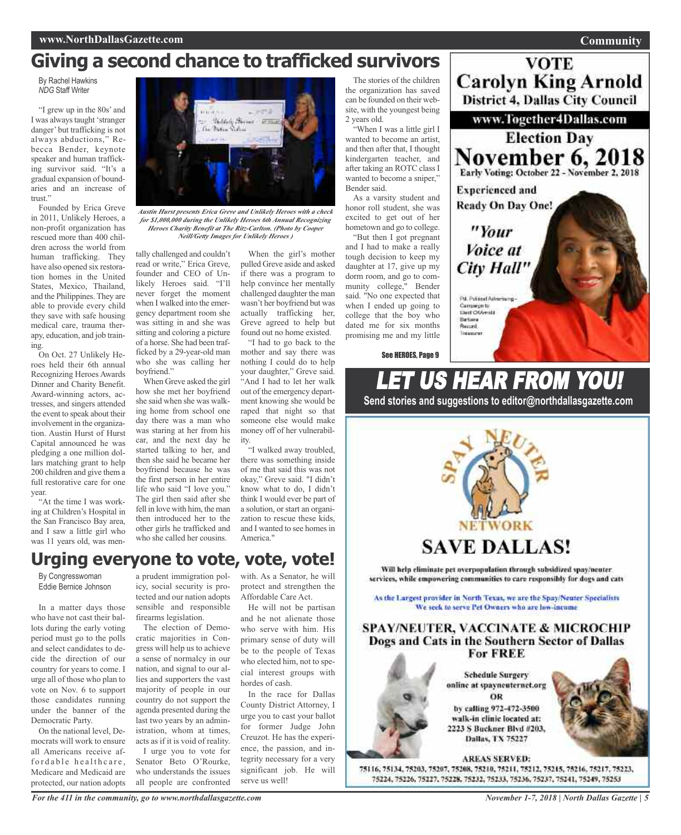### **Giving a second chance to trafficked survivors**

By Rachel Hawkins *NDG* Staff Writer

"I grew up in the 80s' and I was always taught 'stranger danger' but trafficking is not always abductions," Rebecca Bender, keynote speaker and human trafficking survivor said. "It's a gradual expansion of boundaries and an increase of trust."

Founded by Erica Greve in 2011, Unlikely Heroes, a non-profit organization has rescued more than 400 children across the world from human trafficking. They have also opened six restoration homes in the United States, Mexico, Thailand, and the Philippines. They are able to provide every child they save with safe housing medical care, trauma therapy, education, and job training.

On Oct. 27 Unlikely Heroes held their 6th annual Recognizing Heroes Awards Dinner and Charity Benefit. Award-winning actors, actresses, and singers attended the event to speak about their involvement in the organization. Austin Hurst of Hurst Capital announced he was pledging a one million dollars matching grant to help 200 children and give them a full restorative care for one year.

"At the time I was working at Children's Hospital in the San Francisco Bay area, and I saw a little girl who was 11 years old, was men-



*Austin Hurst presents Erica Greve and Unlikely Heroes with <sup>a</sup> check for \$1,000,000 during the Unlikely Heroes 6th Annual Recognizing Heroes Charity Benefit at The Ritz-Carlton. (Photo by Cooper Neill/Getty Images for Unlikely Heroes )*

tally challenged and couldn't read or write," Erica Greve, founder and CEO of Unlikely Heroes said. "I'll never forget the moment when I walked into the emergency department room she was sitting in and she was sitting and coloring a picture of a horse. She had been trafficked by a 29-year-old man who she was calling her boyfriend."

When Greve asked the girl how she met her boyfriend she said when she was walking home from school one day there was a man who was staring at her from his car, and the next day he started talking to her, and then she said he became her boyfriend because he was the first person in her entire life who said "I love you." The girl then said after she fell in love with him, the man then introduced her to the other girls he trafficked and who she called her cousins.

When the girl's mother pulled Greve aside and asked if there was a program to help convince her mentally challenged daughter the man wasn't her boyfriend but was actually trafficking her, Greve agreed to help but found out no home existed.

"I had to go back to the mother and say there was nothing I could do to help your daughter," Greve said. "And I had to let her walk out of the emergency department knowing she would be raped that night so that someone else would make money off of her vulnerability.

"I walked away troubled, there was something inside of me that said this was not okay," Greve said. "I didn't know what to do, I didn't think I would ever be part of a solution, or start an organization to rescue these kids, and I wanted to see homes in America."

### **Urging everyone to vote, vote, vote!**

By Congresswoman Eddie Bernice Johnson

In a matter days those who have not cast their ballots during the early voting period must go to the polls and select candidates to decide the direction of our country for years to come. I urge all of those who plan to vote on Nov. 6 to support those candidates running under the banner of the Democratic Party.

On the national level, Democrats will work to ensure all Americans receive affordable healthcare, Medicare and Medicaid are protected, our nation adopts

a prudent immigration policy, social security is protected and our nation adopts sensible and responsible firearms legislation.

The election of Democratic majorities in Congress will help us to achieve a sense of normalcy in our nation, and signal to our allies and supporters the vast majority of people in our country do not support the agenda presented during the last two years by an administration, whom at times, acts as if it is void of reality. I urge you to vote for

Senator Beto O'Rourke, who understands the issues all people are confronted

*For the 411 in the community, go to www.northdallasgazette.com*

with. As a Senator, he will protect and strengthen the Affordable Care Act.

He will not be partisan and he not alienate those who serve with him. His primary sense of duty will be to the people of Texas who elected him, not to special interest groups with hordes of cash.

In the race for Dallas County District Attorney, I urge you to cast your ballot for former Judge John Creuzot. He has the experience, the passion, and integrity necessary for a very significant job. He will serve us well!

The stories of the children the organization has saved can be founded on their website, with the youngest being 2 years old.

"When I was a little girl I wanted to become an artist, and then after that, I thought kindergarten teacher, and after taking an ROTC class I wanted to become a sniper," Bender said.

As a varsity student and honor roll student, she was excited to get out of her hometown and go to college.

"But then I got pregnant and I had to make a really tough decision to keep my daughter at 17, give up my dorm room, and go to community college," Bender said. "No one expected that when I ended up going to college that the boy who dated me for six months promising me and my little

See HEROES, Page 9



75116, 75134, 75203, 75207, 75208, 75210, 75211, 75212, 75215, 75216, 75217, 75223, 75224, 75226, 75227, 75228, 75232, 75233, 75236, 75237, 75241, 75249, 75253

**Community**

**VOTE** 

**Carolyn King Arnold** 

District 4, Dallas City Council

www.Together4Dallas.com

**Election Day** 

November 6, 2018

**Experienced and** Ready On Day One!

"Your

Voice at

City Hall"

Pd. Pulitical Advertising Campaign to<br>Elect CAAmple **Bartisma** Resurri Integrate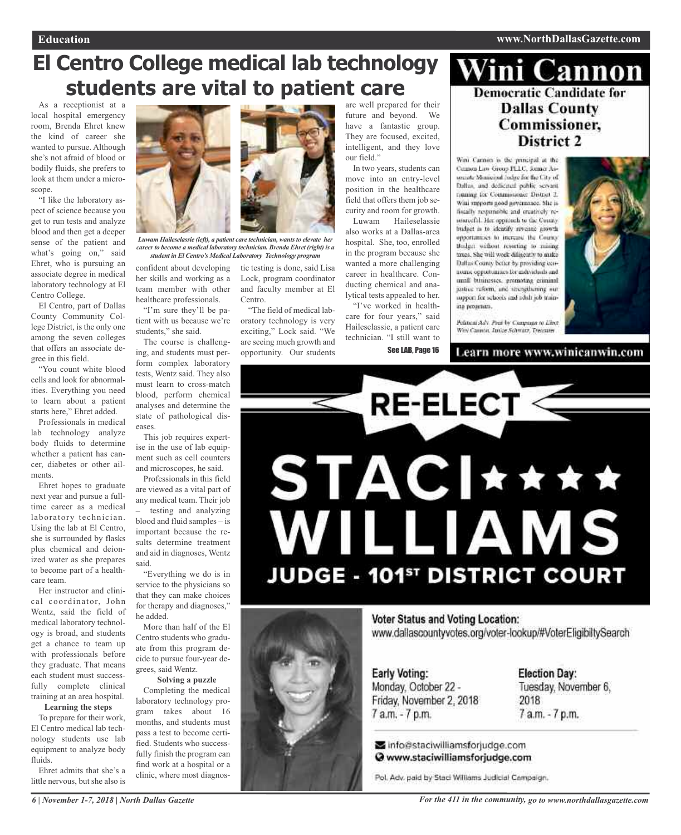#### **Education www.NorthDallasGazette.com**

## **El Centro College medical lab technology students are vital to patient care**

As a receptionist at a local hospital emergency room, Brenda Ehret knew the kind of career she wanted to pursue. Although she's not afraid of blood or bodily fluids, she prefers to look at them under a microscope.

"I like the laboratory aspect of science because you get to run tests and analyze blood and then get a deeper sense of the patient and what's going on," said Ehret, who is pursuing an associate degree in medical laboratory technology at El Centro College.

El Centro, part of Dallas County Community College District, is the only one among the seven colleges that offers an associate degree in this field.

"You count white blood cells and look for abnormalities. Everything you need to learn about a patient starts here," Ehret added.

Professionals in medical lab technology analyze body fluids to determine whether a patient has cancer, diabetes or other ailments.

Ehret hopes to graduate next year and pursue a fulltime career as a medical laboratory technician. Using the lab at El Centro, she is surrounded by flasks plus chemical and deionized water as she prepares to become part of a healthcare team.

Her instructor and clinical coordinator, John Wentz, said the field of medical laboratory technology is broad, and students get a chance to team up with professionals before they graduate. That means each student must successfully complete clinical training at an area hospital.

**Learning the steps**

To prepare for their work, El Centro medical lab technology students use lab equipment to analyze body fluids.

Ehret admits that she's a little nervous, but she also is



*Luwam Haileselassie (left), a patient care technician, wantsto elevate her careerto become a medical laboratory technician. Brenda Ehret (right) is a student in El Centro's Medical Laboratory Technology program*

Centro.

Lock, program coordinator and faculty member at El

"The field of medical laboratory technology is very exciting," Lock said. "We are seeing much growth and opportunity. Our students

confident about developing tic testing is done, said Lisa her skills and working as a team member with other healthcare professionals.

"I'm sure they'll be patient with us because we're students," she said.

The course is challenging, and students must perform complex laboratory tests, Wentz said. They also must learn to cross-match blood, perform chemical analyses and determine the state of pathological diseases.

This job requires expertise in the use of lab equipment such as cell counters and microscopes, he said.

Professionals in this field are viewed as a vital part of any medical team. Their job – testing and analyzing blood and fluid samples – is important because the results determine treatment and aid in diagnoses, Wentz said.

"Everything we do is in service to the physicians so that they can make choices for therapy and diagnoses," he added.

More than half of the El Centro students who graduate from this program decide to pursue four-year degrees, said Wentz.

#### **Solving a puzzle** Completing the medical

laboratory technology program takes about 16 months, and students must pass a test to become certified. Students who successfully finish the program can find work at a hospital or a clinic, where most diagnosare well prepared for their future and beyond. We have a fantastic group. They are focused, excited, intelligent, and they love our field."

In two years, students can move into an entry-level position in the healthcare field that offers them job security and room for growth.

Luwam Haileselassie also works at a Dallas-area hospital. She, too, enrolled in the program because she wanted a more challenging career in healthcare. Conducting chemical and analytical tests appealed to her.

"I've worked in healthcare for four years," said Haileselassie, a patient care technician. "I still want to

See LAB, Page 16

### Wini Cannon **Democratic Candidate for Dallas County** Commissioner, **District 2**

Wini Carinon is the principal at the Cannon Law Group PLLC, Somer Assecurity Mentioned Judge for the City of Dallas, and dedicated public servant financing for Commissioner District 2. Wini surports good governance. She is fiscally responsible and creatively resenrecful. Her oppreuch to the County. budget is to identify revenue growth opportunities to increase the County-Bodget without resurting to mising taxes. She will week dilinearly to make Dallas County befur by providing cennomic opportunities for individuals and unall businesses, promoting criminal justice reform, and strengthening our support for schools and adult job training programs.



Pelancal Adv. Pear by Compagn to Liber. Wey Cannot, Junior Schmitz, Treasurer

Learn more www.winicanwin.com





Voter Status and Voting Location: www.dallascountyvotes.org/voter-lookup/#VoterEligibiltySearch

**Early Voting:** Monday, October 22 -Friday, November 2, 2018 7 a.m. - 7 p.m.

**Election Day:** Tuesday, November 6. 2018 7 a.m. - 7 p.m.

info@staciwilliamsforjudge.com @ www.staciwilliamsforjudge.com

Pol. Adv. paid by Staci Williams Judicial Campaign.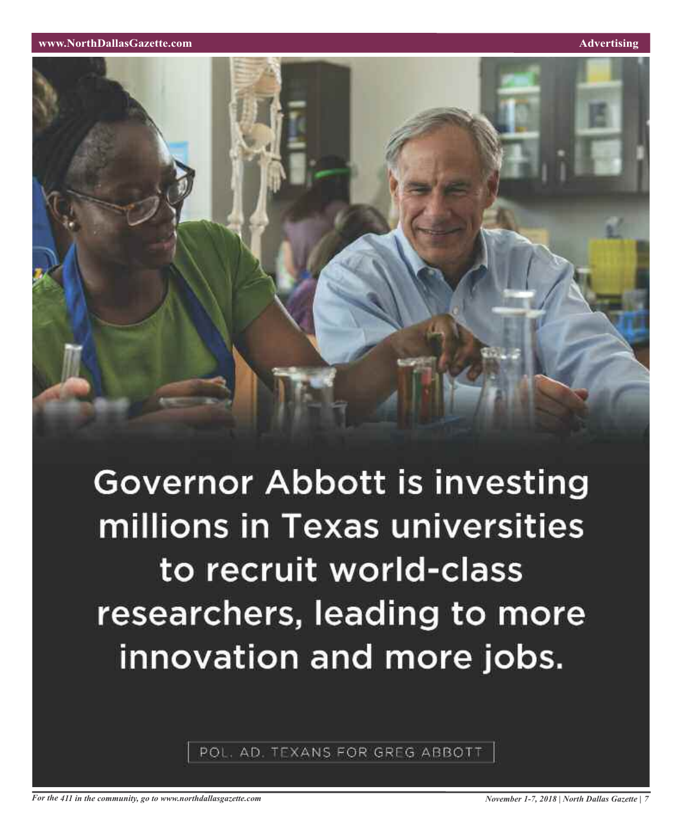**www.NorthDallasGazette.com Advertising** 



**Governor Abbott is investing** millions in Texas universities to recruit world-class researchers, leading to more innovation and more jobs.

POL. AD. TEXANS FOR GREG ABBOTT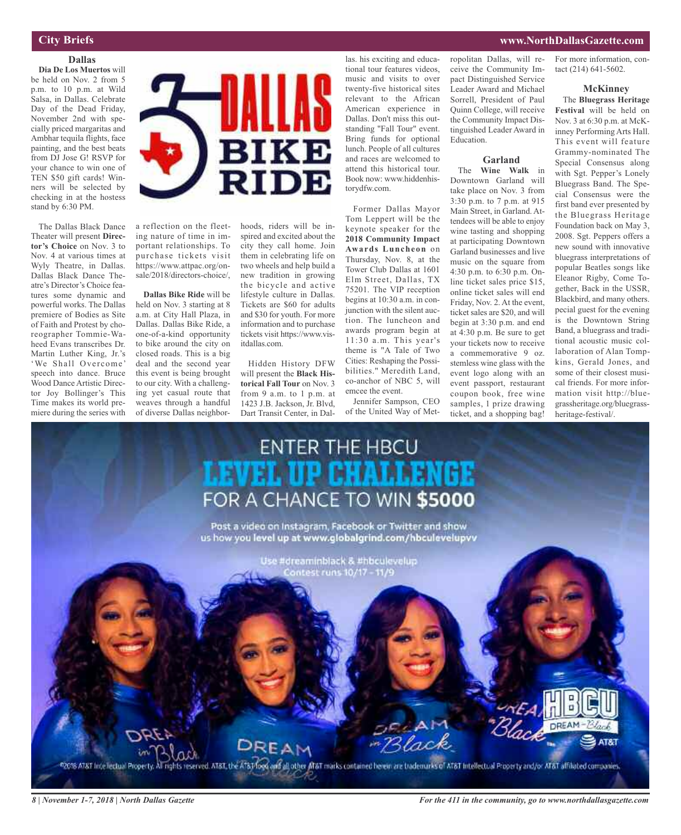### **City Briefs**

### **Dallas**

**Dia De Los Muertos** will be held on Nov. 2 from 5 p.m. to 10 p.m. at Wild Salsa, in Dallas. Celebrate Day of the Dead Friday, November 2nd with specially priced margaritas and Ambhar tequila flights, face painting, and the best beats from DJ Jose G! RSVP for your chance to win one of TEN \$50 gift cards! Winners will be selected by checking in at the hostess stand by 6:30 PM.

The Dallas Black Dance Theater will present **Director's Choice** on Nov. 3 to Nov. 4 at various times at Wyly Theatre, in Dallas. Dallas Black Dance Theatre's Director's Choice features some dynamic and powerful works. The Dallas premiere of Bodies as Site of Faith and Protest by choreographer Tommie-Waheed Evans transcribes Dr. Martin Luther King, Jr.'s 'We Shall Overcome' speech into dance. Bruce Wood Dance Artistic Director Joy Bollinger's This Time makes its world premiere during the series with



a reflection on the fleeting nature of time in important relationships. To purchase tickets visit https://www.attpac.org/onsale/2018/directors-choice/,

**Dallas Bike Ride** will be held on Nov. 3 starting at 8 a.m. at City Hall Plaza, in Dallas. Dallas Bike Ride, a one-of-a-kind opportunity to bike around the city on closed roads. This is a big deal and the second year this event is being brought to our city. With a challenging yet casual route that weaves through a handful of diverse Dallas neighborhoods, riders will be inspired and excited about the city they call home. Join them in celebrating life on two wheels and help build a new tradition in growing the bicycle and active lifestyle culture in Dallas. Tickets are \$60 for adults and \$30 for youth. For more information and to purchase tickets visit https://www.visitdallas.com.

Hidden History DFW will present the **Black Historical Fall Tour** on Nov. 3 from 9 a.m. to 1 p.m. at 1423 J.B. Jackson, Jr. Blvd, Dart Transit Center, in Dallas. his exciting and educational tour features videos, music and visits to over twenty-five historical sites relevant to the African American experience in Dallas. Don't miss this outstanding "Fall Tour" event. Bring funds for optional lunch. People of all cultures and races are welcomed to attend this historical tour. Book now: www.hiddenhistorydfw.com.

Former Dallas Mayor Tom Leppert will be the keynote speaker for the **2018 Community Impact Awards Luncheon** on Thursday, Nov. 8, at the Tower Club Dallas at 1601 Elm Street, Dallas, TX 75201. The VIP reception begins at 10:30 a.m. in conjunction with the silent auction. The luncheon and awards program begin at 11:30 a.m. This year's theme is "A Tale of Two Cities: Reshaping the Possibilities." Meredith Land, co-anchor of NBC 5, will emcee the event.

Jennifer Sampson, CEO of the United Way of Metropolitan Dallas, will receive the Community Impact Distinguished Service Leader Award and Michael Sorrell, President of Paul Quinn College, will receive the Community Impact Distinguished Leader Award in Education.

### **Garland**

The **Wine Walk** in Downtown Garland will take place on Nov. 3 from 3:30 p.m. to 7 p.m. at 915 Main Street, in Garland. Attendees will be able to enjoy wine tasting and shopping at participating Downtown Garland businesses and live music on the square from 4:30 p.m. to 6:30 p.m. Online ticket sales price \$15, online ticket sales will end Friday, Nov. 2. At the event, ticket sales are \$20, and will begin at 3:30 p.m. and end at 4:30 p.m. Be sure to get your tickets now to receive a commemorative 9 oz. stemless wine glass with the event logo along with an event passport, restaurant coupon book, free wine samples, 1 prize drawing ticket, and a shopping bag!

For more information, contact (214) 641-5602.

**www.NorthDallasGazette.com**

#### **McKinney**

The **Bluegrass Heritage Festival** will be held on Nov. 3 at 6:30 p.m. at McKinney Performing Arts Hall. This event will feature Grammy-nominated The Special Consensus along with Sgt. Pepper's Lonely Bluegrass Band. The Special Consensus were the first band ever presented by the Bluegrass Heritage Foundation back on May 3, 2008. Sgt. Peppers offers a new sound with innovative bluegrass interpretations of popular Beatles songs like Eleanor Rigby, Come Together, Back in the USSR, Blackbird, and many others. pecial guest for the evening is the Downtown String Band, a bluegrass and traditional acoustic music collaboration of Alan Tompkins, Gerald Jones, and some of their closest musical friends. For more information visit http://bluegrassheritage.org/bluegrassheritage-festival/.

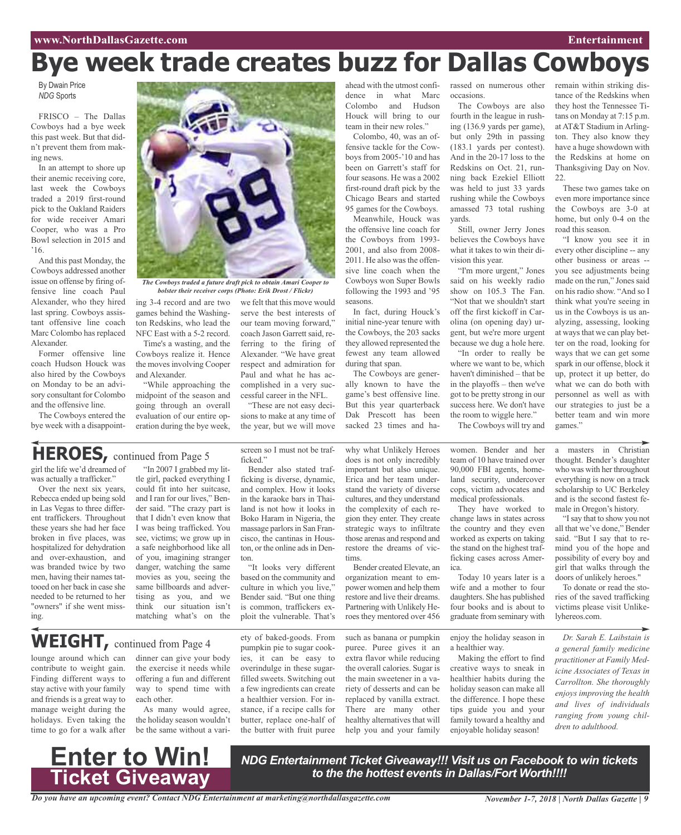# **Bye week trade creates buzz for Dallas Cowboys**

By Dwain Price *NDG* Sports

FRISCO – The Dallas Cowboys had a bye week this past week. But that didn't prevent them from making news.

In an attempt to shore up their anemic receiving core, last week the Cowboys traded a 2019 first-round pick to the Oakland Raiders for wide receiver Amari Cooper, who was a Pro Bowl selection in 2015 and '16.

And this past Monday, the Cowboys addressed another issue on offense by firing offensive line coach Paul Alexander, who they hired last spring. Cowboys assistant offensive line coach Marc Colombo has replaced Alexander.

Former offensive line coach Hudson Houck was also hired by the Cowboys on Monday to be an advisory consultant for Colombo and the offensive line.

The Cowboys entered the bye week with a disappoint-



*The Cowboys traded a future draft pick to obtain Amari Cooper to bolster their receiver corps (Photo: Erik Drost / Flickr)*

ing 3-4 record and are two we felt that this move would games behind the Washington Redskins, who lead the NFC East with a 5-2 record.

Time's a wasting, and the Cowboys realize it. Hence the moves involving Cooper and Alexander.

"While approaching the midpoint of the season and going through an overall evaluation of our entire operation during the bye week, serve the best interests of our team moving forward," coach Jason Garrett said, referring to the firing of Alexander. "We have great respect and admiration for Paul and what he has accomplished in a very successful career in the NFL.

"These are not easy decisions to make at any time of the year, but we will move

ahead with the utmost confidence in what Marc Colombo and Hudson Houck will bring to our team in their new roles."

Colombo, 40, was an offensive tackle for the Cowboys from 2005-'10 and has been on Garrett's staff for four seasons. He was a 2002 first-round draft pick by the Chicago Bears and started 95 games for the Cowboys.

Meanwhile, Houck was the offensive line coach for the Cowboys from 1993- 2001, and also from 2008- 2011. He also was the offensive line coach when the Cowboys won Super Bowls following the 1993 and '95 seasons.

In fact, during Houck's initial nine-year tenure with the Cowboys, the 203 sacks they allowed represented the fewest any team allowed during that span.

The Cowboys are generally known to have the game's best offensive line. But this year quarterback Dak Prescott has been sacked 23 times and harassed on numerous other occasions.

The Cowboys are also fourth in the league in rushing (136.9 yards per game), but only 29th in passing (183.1 yards per contest). And in the 20-17 loss to the Redskins on Oct. 21, running back Ezekiel Elliott was held to just 33 yards rushing while the Cowboys amassed 73 total rushing yards.

Still, owner Jerry Jones believes the Cowboys have what it takes to win their division this year.

"I'm more urgent," Jones said on his weekly radio show on 105.3 The Fan. "Not that we shouldn't start off the first kickoff in Carolina (on opening day) urgent, but we're more urgent because we dug a hole here.

"In order to really be where we want to be, which haven't diminished – that be in the playoffs – then we've got to be pretty strong in our success here. We don't have the room to wiggle here."

The Cowboys will try and

remain within striking distance of the Redskins when they host the Tennessee Titans on Monday at 7:15 p.m. at AT&T Stadium in Arlington. They also know they have a huge showdown with the Redskins at home on Thanksgiving Day on Nov. 22.

These two games take on even more importance since the Cowboys are 3-0 at home, but only 0-4 on the road this season.

"I know you see it in every other discipline -- any other business or areas - you see adjustments being made on the run," Jones said on his radio show. "And so I think what you're seeing in us in the Cowboys is us analyzing, assessing, looking at waysthat we can play better on the road, looking for ways that we can get some spark in our offense, block it up, protect it up better, do what we can do both with personnel as well as with our strategies to just be a better team and win more games."

### **HEROES,** continued from Page <sup>5</sup>

girl the life we'd dreamed of was actually a trafficker."

Over the next six years, Rebecca ended up being sold in Las Vegas to three different traffickers. Throughout these years she had her face broken in five places, was hospitalized for dehydration and over-exhaustion, and was branded twice by two men, having their names tattooed on her back in case she needed to be returned to her "owners" if she went missing.

lounge around which can contribute to weight gain. Finding different ways to stay active with your family and friends is a great way to manage weight during the holidays. Even taking the

"In 2007 I grabbed my little girl, packed everything I could fit into her suitcase, and I ran for our lives," Bender said. "The crazy part is that I didn't even know that I was being trafficked. You see, victims; we grow up in a safe neighborhood like all

of you, imagining stranger danger, watching the same movies as you, seeing the same billboards and advertising as you, and we think our situation isn't matching what's on the

dinner can give your body the exercise it needs while offering a fun and different way to spend time with

As many would agree, the holiday season wouldn't screen so I must not be trafficked"

Bender also stated trafficking is diverse, dynamic, and complex. How it looks in the karaoke bars in Thailand is not how it looks in Boko Haram in Nigeria, the massage parlors in San Francisco, the cantinas in Houston, or the online ads in Denton.

"It looks very different based on the community and culture in which you live," Bender said. "But one thing is common, traffickers exploit the vulnerable. That's

ety of baked-goods. From pumpkin pie to sugar cookies, it can be easy to overindulge in these sugarfilled sweets. Switching out a few ingredients can create a healthier version. For instance, if a recipe calls for butter, replace one-half of the butter with fruit puree

why what Unlikely Heroes does is not only incredibly important but also unique. Erica and her team understand the variety of diverse cultures, and they understand the complexity of each region they enter. They create strategic ways to infiltrate those arenas and respond and restore the dreams of victims.

Bender created Elevate, an organization meant to empower women and help them restore and live their dreams. Partnering with Unlikely Heroes they mentored over 456

such as banana or pumpkin puree. Puree gives it an extra flavor while reducing the overall calories. Sugar is the main sweetener in a variety of desserts and can be replaced by vanilla extract. There are many other healthy alternatives that will help you and your family

women. Bender and her team of 10 have trained over 90,000 FBI agents, homeland security, undercover cops, victim advocates and medical professionals.

They have worked to change laws in states across the country and they even worked as experts on taking the stand on the highest trafficking cases across America.

Today 10 years later is a wife and a mother to four daughters. She has published four books and is about to graduate from seminary with

enjoy the holiday season in a healthier way.

Making the effort to find creative ways to sneak in healthier habits during the holiday season can make all the difference. I hope these tips guide you and your family toward a healthy and enjoyable holiday season!

a masters in Christian thought. Bender's daughter who was with her throughout everything is now on a track scholarship to UC Berkeley and is the second fastest female in Oregon's history.

"Isay that to show you not all that we've done," Bender said. "But I say that to remind you of the hope and possibility of every boy and girl that walks through the doors of unlikely heroes."

To donate or read the stories of the saved trafficking victims please visit Unlikelyhereos.com.

*Dr. Sarah E. Laibstain is a general family medicine practitioner at Family Medicine Associates of Texas in Carrollton. She thoroughly enjoys improving the health and lives of individuals ranging from young children to adulthood.*



time to go for a walk after be the same without a vari-

**WEIGHT,** continued from Page <sup>4</sup>

each other.

*NDG Entertainment Ticket Giveaway!!! Visit us on Facebook to win tickets to the the hottest events in Dallas/Fort Worth!!!!*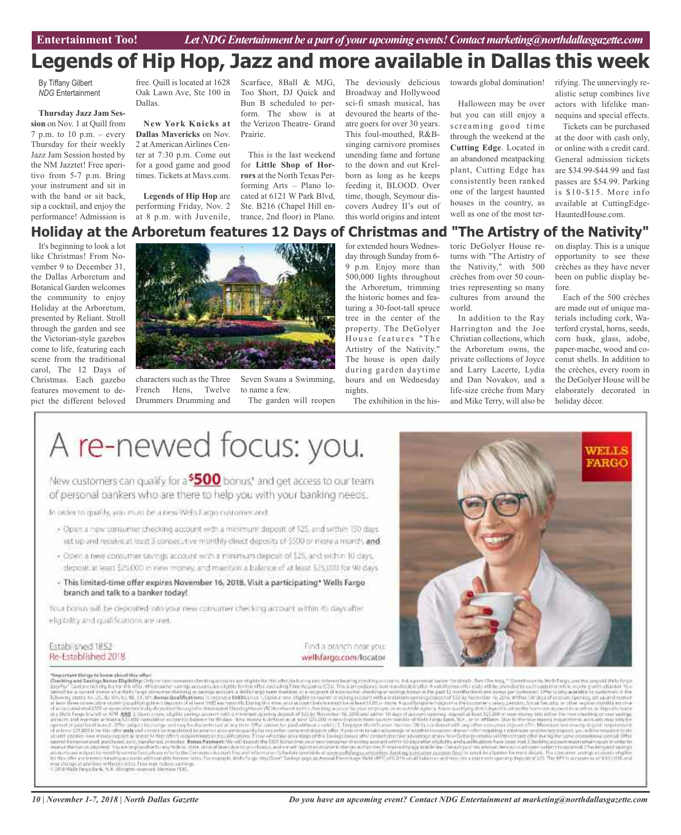### **Legends of Hip Hop, Jazz and more available in Dallas this week**

By Tiffany Gilbert *NDG* Entertainment

#### **Thursday Jazz Jam Ses-**

**sion** on Nov. 1 at Quill from  $7$  p.m. to  $10$  p.m. – every Thursday for their weekly Jazz Jam Session hosted by the NM Jazztet! Free aperitivo from 5-7 p.m. Bring your instrument and sit in with the band or sit back, sip a cocktail, and enjoy the performance! Admission is

It's beginning to look a lot like Christmas! From November 9 to December 31, the Dallas Arboretum and Botanical Garden welcomes the community to enjoy Holiday at the Arboretum, presented by Reliant. Stroll through the garden and see the Victorian-style gazebos come to life, featuring each scene from the traditional carol, The 12 Days of Christmas. Each gazebo features movement to depict the different beloved

Oak Lawn Ave, Ste 100 in Dallas.

**New York Knicks at Dallas Mavericks** on Nov. 2 at American Airlines Center at 7:30 p.m. Come out for a good game and good times. Tickets at Mavs.com.

**Legends of Hip Hop** are performing Friday, Nov. 2 at 8 p.m. with Juvenile,

free. Quill is located at 1628 Scarface, 8Ball & MJG, Too \$hort, DJ Quick and Bun B scheduled to perform. The show is at the Verizon Theatre- Grand Prairie.

> This is the last weekend for **Little Shop of Horrors** at the North Texas Performing Arts – Plano located at 6121 W Park Blvd, Ste. B216 (Chapel Hill entrance, 2nd floor) in Plano.

The deviously delicious Broadway and Hollywood sci-fi smash musical, has devoured the hearts of theatre goers for over 30 years. This foul-mouthed, R&Bsinging carnivore promises unending fame and fortune to the down and out Krelborn as long as he keeps feeding it, BLOOD. Over time, though, Seymour discovers Audrey II's out of this world origins and intent

towards global domination!

Halloween may be over but you can still enjoy a screaming good time through the weekend at the **Cutting Edge**. Located in an abandoned meatpacking plant, Cutting Edge has consistently been ranked one of the largest haunted houses in the country, as well as one of the most terrifying. The unnervingly realistic setup combines live actors with lifelike mannequins and special effects.

Tickets can be purchased at the door with cash only, or online with a credit card. General admission tickets are \$34.99-\$44.99 and fast passes are \$54.99. Parking is \$10-\$15. More info available at CuttingEdge-HauntedHouse.com.



characters such as the Three French Hens, Twelve Drummers Drumming and

Seven Swans a Swimming, to name a few. The garden will reopen

for extended hours Wednesday through Sunday from 6- 9 p.m. Enjoy more than 500,000 lights throughout the Arboretum, trimming the historic homes and featuring a 30-foot-tall spruce tree in the center of the property. The DeGolyer House features "The Artistry of the Nativity." The house is open daily during garden daytime hours and on Wednesday nights.

The exhibition in the his-

toric DeGolyer House returns with "The Artistry of the Nativity," with 500 crèches from over 50 countries representing so many cultures from around the world.

In addition to the Ray Harrington and the Joe Christian collections, which the Arboretum owns, the private collections of Joyce and Larry Lacerte, Lydia and Dan Novakov, and a life-size crèche from Mary and Mike Terry, will also be

on display. This is a unique opportunity to see these crèches as they have never been on public display before.

Each of the 500 crèches are made out of unique materials including cork, Waterford crystal, horns, seeds, corn husk, glass, adobe, paper-mache, wood and coconut shells. In addition to the crèches, every room in the DeGolyer House will be elaborately decorated in holiday décor.

# A re-newed focus: you.

New customers can qualify for a <sup>\$500</sup> bonus,<sup>\*</sup> and get access to our team of personal bankers who are there to help you with your banking needs.

In pader to qualify, you must be a new Wells Farge customer and:

- . Open a new consumer checking account with a minimum deposit of \$25, and within 150 days. set up and receive at least 3 consecutive monthly direct deposits of \$500 or more a month, and
- · Open a new consumer savings account with a minimum deposit of \$25, and within 10 days. deposit at least \$25,000 in new money, and maintain a balance of at least \$25,000 for 90 days
- This limited-time offer expires November 16, 2018. Visit a participating\* Wells Fargo branch and talk to a banker today!

Your bonus will be deposited into your new comunser checking account within 45 days after eligibility and gualifications are met.

Established 1852 Re-Established 2018

Find a branch near you: wellsfargo.com/locator



#### Second of this as to been about this offer.

The strain through the strain in the strain in the strain in the strain in the strain in the strain in the strain in the strain in the strain in the strain in the strain in the strain in the strain in the strain in the st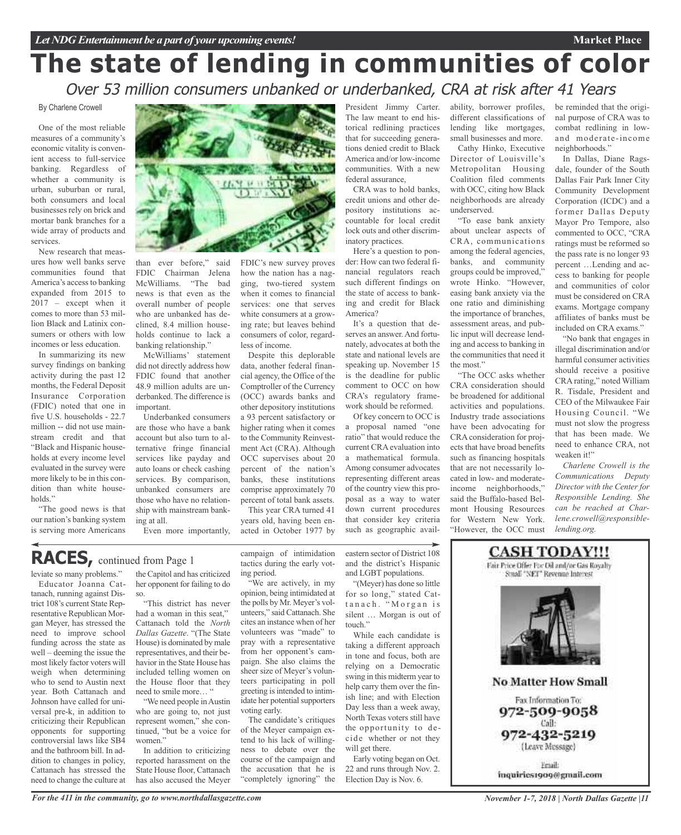# **The state of lending in communities of color** Over 53 million consumers unbanked or underbanked, CRA at risk after 41 Years

#### By Charlene Crowell

One of the most reliable measures of a community's economic vitality is convenient access to full-service banking. Regardless of whether a community is urban, suburban or rural, both consumers and local businesses rely on brick and mortar bank branches for a wide array of products and services.

New research that measures how well banks serve communities found that America's access to banking expanded from 2015 to 2017 – except when it comes to more than 53 million Black and Latinix consumers or others with low incomes or less education.

In summarizing its new survey findings on banking activity during the past 12 months, the Federal Deposit Insurance Corporation (FDIC) noted that one in five U.S. households - 22.7 million -- did not use mainstream credit and that "Black and Hispanic households at every income level evaluated in the survey were more likely to be in this condition than white households."

"The good news is that our nation's banking system is serving more Americans



than ever before," said FDIC Chairman Jelena McWilliams. "The bad news is that even as the overall number of people who are unbanked has declined, 8.4 million households continue to lack a banking relationship."

McWilliams' statement did not directly address how FDIC found that another 48.9 million adults are underbanked. The difference is important.

Underbanked consumers are those who have a bank account but also turn to alternative fringe financial services like payday and auto loans or check cashing services. By comparison, unbanked consumers are those who have no relationship with mainstream banking at all.

Even more importantly,

### **RACES,** continued from Page <sup>1</sup>

leviate so many problems."

Educator Joanna Cattanach, running against District 108's current State Representative Republican Morgan Meyer, has stressed the need to improve school funding across the state as well – deeming the issue the most likely factor voters will weigh when determining who to send to Austin next year. Both Cattanach and Johnson have called for universal pre-k, in addition to criticizing their Republican opponents for supporting controversial laws like SB4 and the bathroom bill. In addition to changes in policy, Cattanach has stressed the need to change the culture at

the Capitol and has criticized her opponent for failing to do so.

"This district has never had a woman in this seat," Cattanach told the *North Dallas Gazette*. "(The State House) is dominated by male representatives, and their behavior in the State House has included telling women on the House floor that they need to smile more...

"We need people inAustin who are going to, not just represent women," she continued, "but be a voice for women."

In addition to criticizing reported harassment on the State House floor, Cattanach has also accused the Meyer

how the nation has a nagging, two-tiered system when it comes to financial services: one that serves white consumers at a growing rate; but leaves behind consumers of color, regardless of income.

FDIC's new survey proves

Despite this deplorable data, another federal financial agency, the Office of the Comptroller of the Currency (OCC) awards banks and other depository institutions a 93 percent satisfactory or higher rating when it comes to the Community Reinvestment Act (CRA). Although OCC supervises about 20 percent of the nation's banks, these institutions comprise approximately 70 percent of total bank assets.

This year CRA turned 41 years old, having been enacted in October 1977 by

ing period.

campaign of intimidation tactics during the early voteastern sector of District 108 and the district's Hispanic and LGBT populations. "(Meyer) has done so little

touch."

will get there.

"We are actively, in my opinion, being intimidated at the polls by Mr. Meyer's volunteers," said Cattanach. She cites an instance when of her volunteers was "made" to pray with a representative from her opponent's campaign. She also claims the sheer size of Meyer's volunteers participating in poll greeting is intended to intimidate her potential supporters voting early.

The candidate's critiques of the Meyer campaign extend to his lack of willingness to debate over the course of the campaign and the accusation that he is "completely ignoring" the

torical redlining practices that for succeeding generations denied credit to Black America and/or low-income communities. With a new federal assurance, CRA was to hold banks,

President Jimmy Carter. The law meant to end his-

credit unions and other depository institutions accountable for local credit lock outs and other discriminatory practices.

Here's a question to ponder: How can two federal financial regulators reach such different findings on the state of access to banking and credit for Black America?

It's a question that deserves an answer. And fortunately, advocates at both the state and national levels are speaking up. November 15 is the deadline for public comment to OCC on how CRA's regulatory framework should be reformed.

Of key concern to OCC is a proposal named "one ratio" that would reduce the current CRA evaluation into a mathematical formula. Among consumer advocates representing different areas of the country view this proposal as a way to water down current procedures that consider key criteria such as geographic avail-

for so long," stated Cattanach. "Morgan is silent … Morgan is out of

While each candidate is taking a different approach in tone and focus, both are relying on a Democratic swing in this midterm year to help carry them over the finish line; and with Election Day less than a week away, North Texas voters still have the opportunity to decide whether or not they

Early voting began on Oct. 22 and runs through Nov. 2. Election Day is Nov. 6.

ability, borrower profiles, different classifications of lending like mortgages, small businesses and more. Cathy Hinko, Executive

Director of Louisville's Metropolitan Housing Coalition filed comments with OCC, citing how Black neighborhoods are already underserved.

"To ease bank anxiety about unclear aspects of CRA, communications among the federal agencies, banks, and community groups could be improved," wrote Hinko. "However, easing bank anxiety via the one ratio and diminishing the importance of branches, assessment areas, and public input will decrease lending and access to banking in the communities that need it the most."

"The OCC asks whether CRA consideration should be broadened for additional activities and populations. Industry trade associations have been advocating for CRA consideration for projects that have broad benefits such as financing hospitals that are not necessarily located in low- and moderateincome neighborhoods," said the Buffalo-based Belmont Housing Resources for Western New York. "However, the OCC must be reminded that the original purpose of CRA was to combat redlining in lowand moderate-income neighborhoods."

**Market Place**

In Dallas, Diane Ragsdale, founder of the South Dallas Fair Park Inner City Community Development Corporation (ICDC) and a former Dallas Deputy Mayor Pro Tempore, also commented to OCC, "CRA ratings must be reformed so the pass rate is no longer 93 percent …Lending and access to banking for people and communities of color must be considered on CRA exams. Mortgage company affiliates of banks must be included on CRA exams."

"No bank that engages in illegal discrimination and/or harmful consumer activities should receive a positive CRA rating," noted William R. Tisdale, President and CEO of the Milwaukee Fair Housing Council. "We must not slow the progress that has been made. We need to enhance CRA, not weaken it!"

*Charlene Crowell is the Communications Deputy Director with the Center for Responsible Lending. She can be reached at Charlene.crowell@responsiblelending.org.*

## **CASH TODAY!!!** Fair Price Offer For Oil and/or Gas Royalty Small "NET" Revenue Interest **No Matter How Small** Fax Information To: 972-509-9058 Call: 972-432-5219 (Leave Message)

Email: inquiries1909@gmail.com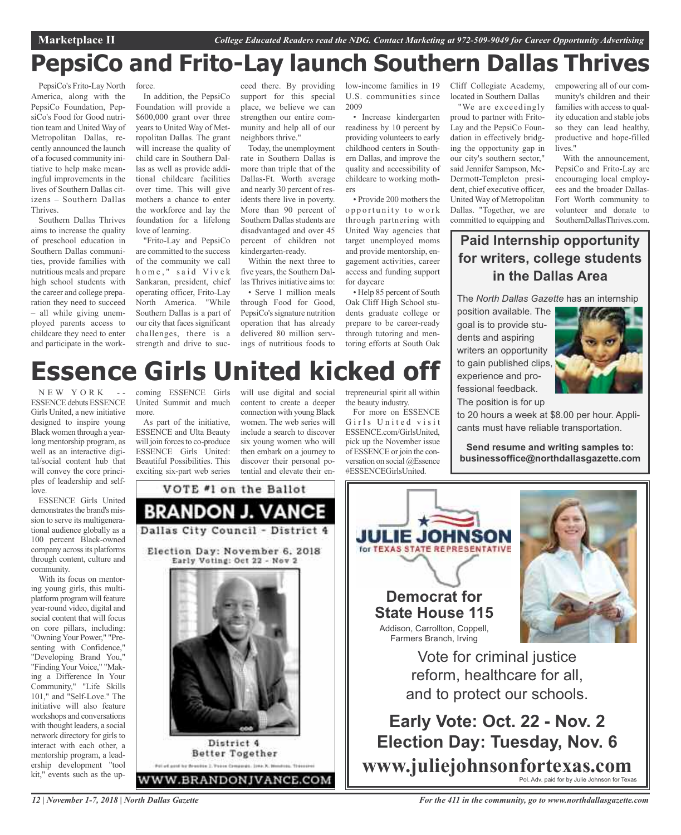# **PepsiCo and Frito-Lay launch Southern Dallas Thrives**

PepsiCo's Frito-Lay North America, along with the PepsiCo Foundation, PepsiCo's Food for Good nutrition team and United Way of Metropolitan Dallas, recently announced the launch of a focused community initiative to help make meaningful improvements in the lives of Southern Dallas citizens – Southern Dallas Thrives.

Southern Dallas Thrives aims to increase the quality of preschool education in Southern Dallas communities, provide families with nutritious meals and prepare high school students with the career and college preparation they need to succeed – all while giving unemployed parents access to childcare they need to enter and participate in the work-

force.

In addition, the PepsiCo Foundation will provide a \$600,000 grant over three years to United Way of Metropolitan Dallas. The grant will increase the quality of child care in Southern Dallas as well as provide additional childcare facilities over time. This will give mothers a chance to enter the workforce and lay the foundation for a lifelong love of learning.

"Frito-Lay and PepsiCo are committed to the success of the community we call home," said Vivek Sankaran, president, chief operating officer, Frito-Lay North America. "While Southern Dallas is a part of our city that faces significant challenges, there is a strength and drive to suc-

ceed there. By providing support for this special place, we believe we can strengthen our entire community and help all of our neighbors thrive."

Today, the unemployment rate in Southern Dallas is more than triple that of the Dallas-Ft. Worth average and nearly 30 percent of residents there live in poverty. More than 90 percent of Southern Dallas students are disadvantaged and over 45 percent of children not kindergarten-ready.

Within the next three to five years, the Southern Dallas Thrives initiative aims to:

• Serve 1 million meals through Food for Good, PepsiCo's signature nutrition operation that has already delivered 80 million servings of nutritious foods to

low-income families in 19 U.S. communities since 2009 • Increase kindergarten readiness by 10 percent by providing volunteers to early

childhood centers in Southern Dallas, and improve the quality and accessibility of childcare to working mothers • Provide 200 mothers the

opportunity to work through partnering with United Way agencies that target unemployed moms and provide mentorship, engagement activities, career access and funding support for daycare

• Help 85 percent of South Oak Cliff High School students graduate college or prepare to be career-ready through tutoring and mentoring efforts at South Oak

Cliff Collegiate Academy, located in Southern Dallas

"We are exceedingly proud to partner with Frito-Lay and the PepsiCo Foundation in effectively bridging the opportunity gap in our city's southern sector," said Jennifer Sampson, Mc-Dermott-Templeton president, chief executive officer, United Way of Metropolitan Dallas. "Together, we are committed to equipping and empowering all of our community's children and their families with access to quality education and stable jobs so they can lead healthy, productive and hope-filled lives."

With the announcement, PepsiCo and Frito-Lay are encouraging local employees and the broader Dallas-Fort Worth community to volunteer and donate to SouthernDallasThrives.com.

### **Paid Internship opportunity for writers, college students in the Dallas Area**

The *North Dallas Gazette* has an internship

position available. The goal is to provide students and aspiring writers an opportunity to gain published clips, experience and professional feedback. The position is for up



# **Essence Girls United kicked off**

VOTE #1 on the Ballot

**BRANDON J. VANCE** 

Dallas City Council - District 4

Election Day: November 6, 2018 Early Voting: Oct 22 - Nov 2

District 4 **Better Together** Pol of gost he Brackin 2. Passa Companie, 2004 N. Hondon, Treasured

W.BRANDONJVANCE.COM

 $N$  E W Y O R K ESSENCE debuts ESSENCE Girls United, a new initiative designed to inspire young Black women through a yearlong mentorship program, as well as an interactive digital/social content hub that will convey the core principles of leadership and selflove.

ESSENCE Girls United demonstrates the brand's mission to serve its multigenerational audience globally as a 100 percent Black-owned company across its platforms through content, culture and community.

With its focus on mentoring young girls, this multiplatform program will feature year-round video, digital and social content that will focus on core pillars, including: "Owning Your Power," "Presenting with Confidence," "Developing Brand You," "FindingYour Voice," "Making a Difference In Your Community," "Life Skills 101," and "Self-Love." The initiative will also feature workshops and conversations with thought leaders, a social network directory for girls to interact with each other, a mentorship program, a leadership development "tool kit," events such as the up-

coming ESSENCE Girls United Summit and much more.

As part of the initiative, ESSENCE and Ulta Beauty will join forces to co-produce ESSENCE Girls United: Beautiful Possibilities. This exciting six-part web series

will use digital and social content to create a deeper connection with young Black women. The web series will include a search to discover six young women who will then embark on a journey to discover their personal potential and elevate their entrepreneurial spirit all within the beauty industry.

For more on ESSENCE Girls United visit ESSENCE.com/GirlsUnited, pick up the November issue of ESSENCE or join the conversation on social @Essence #ESSENCEGirlsUnited.

**Send resume and writing samples to: businessoffice@northdallasgazette.com**

to 20 hours a week at \$8.00 per hour. Applicants must have reliable transportation.

**JULIE JOH** for TEXAS STATE REPRESENTATIVE **Democrat for State House 115** Addison, Carrollton, Coppell,

Farmers Branch, Irving



Vote for criminal justice reform, healthcare for all, and to protect our schools.

**Early Vote: Oct. 22 - Nov. 2 Election Day: Tuesday, Nov. 6 www.juliejohnsonfortexas.com** Pol. Adv. paid for by Julie Johnson for Texas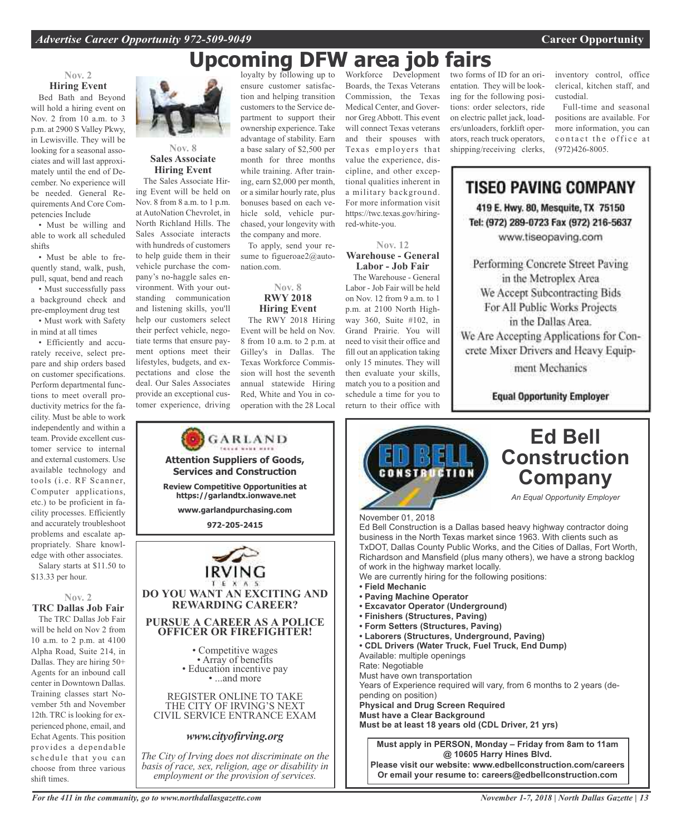### loyalty by following up to **Upcoming DFW area job fairs**

### **Nov. 2 Hiring Event**

Bed Bath and Beyond will hold a hiring event on Nov. 2 from 10 a.m. to 3 p.m. at 2900 S Valley Pkwy, in Lewisville. They will be looking for a seasonal associates and will last approximately until the end of December. No experience will be needed. General Requirements And Core Competencies Include

• Must be willing and able to work all scheduled shifts

• Must be able to frequently stand, walk, push, pull, squat, bend and reach

• Must successfully pass a background check and pre-employment drug test • Must work with Safety

in mind at all times • Efficiently and accu-

rately receive, select prepare and ship orders based on customer specifications. Perform departmental functions to meet overall productivity metrics for the facility. Must be able to work independently and within a team. Provide excellent customer service to internal and external customers. Use available technology and tools (i.e. RF Scanner, Computer applications, etc.) to be proficient in facility processes. Efficiently and accurately troubleshoot problems and escalate appropriately. Share knowledge with other associates. Salary starts at \$11.50 to

\$13.33 per hour.

**Nov. 2 TRC Dallas Job Fair**

The TRC Dallas Job Fair will be held on Nov 2 from 10 a.m. to 2 p.m. at 4100 Alpha Road, Suite 214, in Dallas. They are hiring 50+ Agents for an inbound call center in Downtown Dallas. Training classes start November 5th and November 12th. TRC is looking for experienced phone, email, and Echat Agents. This position provides a dependable schedule that you can choose from three various shift times.



### **Nov. 8 Sales Associate Hiring Event**

The Sales Associate Hiring Event will be held on Nov. 8 from 8 a.m. to 1 p.m. at AutoNation Chevrolet, in North Richland Hills. The Sales Associate interacts with hundreds of customers to help guide them in their vehicle purchase the company's no-haggle sales environment. With your outstanding communication and listening skills, you'll help our customers select their perfect vehicle, negotiate terms that ensure payment options meet their lifestyles, budgets, and expectations and close the deal. Our Sales Associates provide an exceptional customer experience, driving

ensure customer satisfaction and helping transition customers to the Service department to support their ownership experience. Take advantage of stability. Earn a base salary of \$2,500 per month for three months while training. After training, earn \$2,000 per month, or a similar hourly rate, plus bonuses based on each vehicle sold, vehicle purchased, your longevity with the company and more.

To apply, send your resume to figueroae2@autonation.com.

### **Nov. 8 RWY 2018 Hiring Event**

The RWY 2018 Hiring Event will be held on Nov. 8 from 10 a.m. to 2 p.m. at Gilley's in Dallas. The Texas Workforce Commission will host the seventh annual statewide Hiring Red, White and You in cooperation with the 28 Local

Boards, the Texas Veterans Commission, the Texas Medical Center, and Governor Greg Abbott. This event will connect Texas veterans and their spouses with Texas employers that value the experience, discipline, and other exceptional qualities inherent in a military background. For more information visit https://twc.texas.gov/hiringred-white-you.

**Nov. 12**

**Warehouse - General Labor - Job Fair** The Warehouse - General Labor - Job Fair will be held on Nov. 12 from 9 a.m. to 1 p.m. at 2100 North Highway 360, Suite #102, in Grand Prairie. You will need to visit their office and fill out an application taking only 15 minutes. They will then evaluate your skills, match you to a position and schedule a time for you to return to their office with

Workforce Development two forms of ID for an orientation. They will be looking for the following positions: order selectors, ride on electric pallet jack, loaders/unloaders, forklift operators, reach truck operators, shipping/receiving clerks,

inventory control, office clerical, kitchen staff, and custodial.

Full-time and seasonal positions are available. For more information, you can contact the office at (972)426-8005.

**TISEO PAVING COMPANY** 

419 E. Hwy. 80, Mesquite, TX 75150 Tel: (972) 289-0723 Fax (972) 216-5637 www.tiseopaving.com

Performing Concrete Street Paving in the Metroplex Area We Accept Subcontracting Bids For All Public Works Projects in the Dallas Area. We Are Accepting Applications for Concrete Mixer Drivers and Heavy Equip-

ment Mechanics

**Equal Opportunity Employer** 



*For the 411 in the community, go to www.northdallasgazette.com*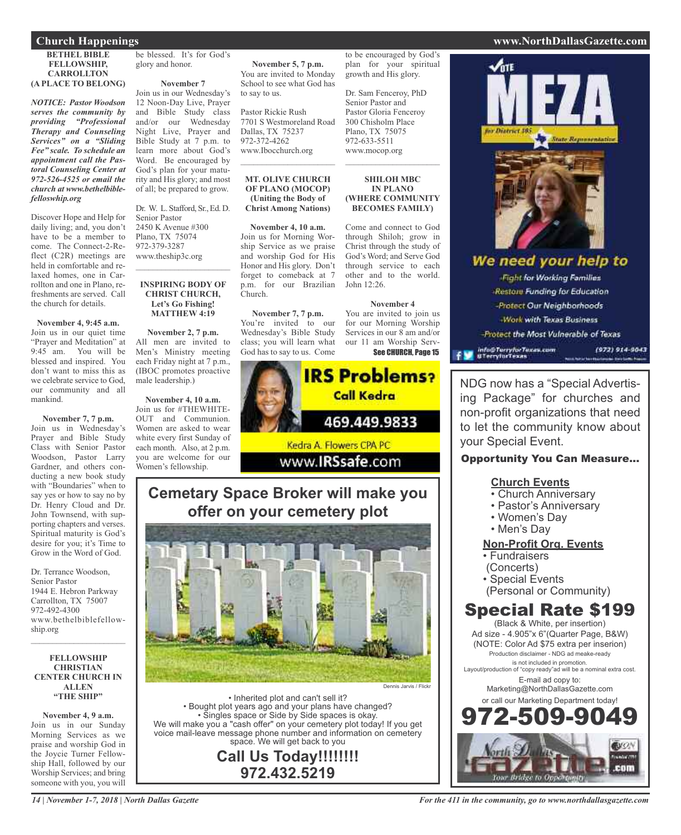### **Church Happenings www.NorthDallasGazette.com**

#### **BETHEL BIBLE FELLOWSHIP, CARROLLTON (A PLACE TO BELONG)**

*NOTICE: Pastor Woodson serves the community by providing "Professional Therapy and Counseling Services" on a "Sliding Fee" scale. To schedule an appointment call the Pastoral Counseling Center at 972-526-4525 or email the church at www.bethelbiblefelloswhip.org*

Discover Hope and Help for daily living; and, you don't have to be a member to come. The Connect-2-Reflect (C2R) meetings are held in comfortable and relaxed homes, one in Carrollton and one in Plano, refreshments are served. Call the church for details.

### **November 4, 9:45 a.m.**

Join us in our quiet time "Prayer and Meditation" at 9:45 am. You will be blessed and inspired. You don't want to miss this as we celebrate service to God, our community and all mankind.

### **November 7, 7 p.m.**

Join us in Wednesday's Prayer and Bible Study Class with Senior Pastor Woodson, Pastor Larry Gardner, and others conducting a new book study with "Boundaries" when to say yes or how to say no by Dr. Henry Cloud and Dr. John Townsend, with supporting chapters and verses. Spiritual maturity is God's desire for you; it's Time to Grow in the Word of God.

Dr. Terrance Woodson, Senior Pastor 1944 E. Hebron Parkway Carrollton, TX 75007 972-492-4300 www.bethelbiblefellowship.org

 $\mathcal{L}_\text{max}$  and  $\mathcal{L}_\text{max}$  and  $\mathcal{L}_\text{max}$ 

#### **FELLOWSHIP CHRISTIAN CENTER CHURCH IN ALLEN "THE SHIP"**

**November 4, 9 a.m.** Join us in our Sunday Morning Services as we praise and worship God in the Joycie Turner Fellowship Hall, followed by our Worship Services; and bring someone with you, you will

be blessed. It's for God's glory and honor.

#### **November 7**

Join us in our Wednesday's 12 Noon-Day Live, Prayer and Bible Study class and/or our Wednesday Night Live, Prayer and Bible Study at 7 p.m. to learn more about God's Word. Be encouraged by God's plan for your maturity and His glory; and most of all; be prepared to grow.

Dr. W. L. Stafford, Sr., Ed. D. Senior Pastor 2450 K Avenue #300 Plano, TX 75074 972-379-3287 www.theship3c.org

#### **INSPIRING BODY OF CHRIST CHURCH, Let's Go Fishing! MATTHEW 4:19**

 $\mathcal{L}_\text{max}$  , which is a set of the set of the set of the set of the set of the set of the set of the set of the set of the set of the set of the set of the set of the set of the set of the set of the set of the set of

**November 2, 7 p.m.** All men are invited to Men's Ministry meeting each Friday night at 7 p.m., (IBOC promotes proactive male leadership.)

**November 4, 10 a.m.** Join us for #THEWHITE-OUT and Communion. Women are asked to wear white every first Sunday of each month. Also, at 2 p.m. you are welcome for our Women's fellowship.

**November 5, 7 p.m.** You are invited to Monday School to see what God has to say to us.

Pastor Rickie Rush 7701 S Westmoreland Road Dallas, TX 75237 972-372-4262 www.Ibocchurch.org  $\overline{\phantom{a}}$  , and the set of the set of the set of the set of the set of the set of the set of the set of the set of the set of the set of the set of the set of the set of the set of the set of the set of the set of the s

#### **MT. OLIVE CHURCH OF PLANO (MOCOP) (Uniting the Body of Christ Among Nations)**

**November 4, 10 a.m.** Join us for Morning Worship Service as we praise and worship God for His Honor and His glory. Don't forget to comeback at 7 p.m. for our Brazilian Church.

**November 7, 7 p.m.** You're invited to our Wednesday's Bible Study class; you will learn what God has to say to us. Come



### **Cemetary Space Broker will make you offer on your cemetery plot**



• Inherited plot and can't sell it? • Bought plot years ago and your plans have changed? • Singles space or Side by Side spaces is okay. We will make you a "cash offer" on your cemetery plot today! If you get voice mail-leave message phone number and information on cemetery space. We will get back to you

**Call Us Today!!!!!!!! 972.432.5219**

to be encouraged by God's plan for your spiritual growth and His glory.

Dr. Sam Fenceroy, PhD Senior Pastor and Pastor Gloria Fenceroy 300 Chisholm Place Plano, TX 75075 972-633-5511 www.mocop.org

#### **SHILOH MBC IN PLANO (WHERE COMMUNITY BECOMES FAMILY)**

 $\mathcal{L}$  , and the set of the set of the set of the set of the set of the set of the set of the set of the set of the set of the set of the set of the set of the set of the set of the set of the set of the set of the set

Come and connect to God through Shiloh; grow in Christ through the study of God's Word; and Serve God through service to each other and to the world. John 12:26.

#### **November 4**

You are invited to join us for our Morning Worship Services in our 8 am and/or our 11 am Worship Serv-See CHURCH, Page 15



NDG now has a "Special Advertising Package" for churches and non-profit organizations that need to let the community know about your Special Event.

### Opportunity You Can Measure...

### **Church Events**

- Church Anniversary
- Pastor's Anniversary
- Women's Day
- Men's Day

### **Non-Profit Org. Events**

- Fundraisers
- (Concerts)
- Special Events
- (Personal or Community)

### Special Rate \$199

(Black & White, per insertion) Ad size - 4.905"x 6"(Quarter Page, B&W) (NOTE: Color Ad \$75 extra per inserion) Production disclaimer - NDG ad meake-ready is not included in promotion. Layout/production of "copy ready"ad will be a nominal extra cost. E-mail ad copy to: Marketing@NorthDallasGazette.com or call our Marketing Department today! 972-509-9049



### *For the 411 in the community, go to www.northdallasgazette.com*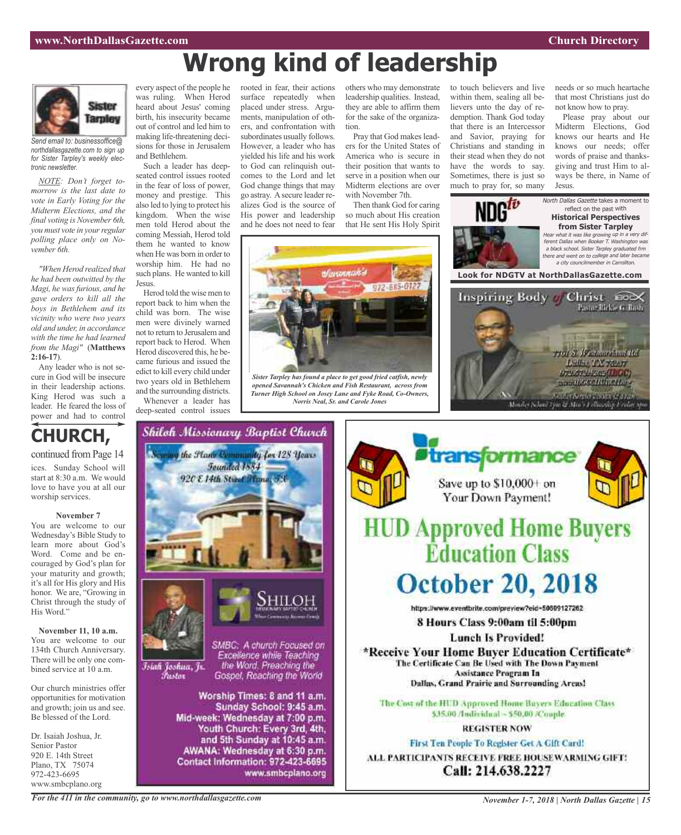# **Wrong kind of leadership**



*Send email to: businessoffice@ northdallasgazette.com to sign up for Sister Tarpley's weekly electronic newsletter.*

*NOTE: Don't forget tomorrow is the last date to vote in Early Voting for the Midterm Elections, and the final voting is November 6th, you must vote in your regular polling place only on November 6th.*

*"When Herod realized that he had been outwitted by the Magi, he wasfurious, and he gave orders to kill all the boys in Bethlehem and its vicinity who were two years old and under, in accordance with the time he had learned from the Magi"* (**Matthews 2:16-17**).

Any leader who is not secure in God will be insecure in their leadership actions. King Herod was such a leader. He feared the loss of power and had to control



ices. Sunday School will start at 8:30 a.m. We would love to have you at all our worship services.

### **November 7**

You are welcome to our Wednesday's Bible Study to learn more about God's Word. Come and be encouraged by God's plan for your maturity and growth; it's all for His glory and His honor. We are, "Growing in Christ through the study of His Word."

**November 11, 10 a.m.** You are welcome to our 134th Church Anniversary. There will be only one combined service at 10 a.m.

Our church ministries offer opportunities for motivation and growth; join us and see. Be blessed of the Lord.

Dr. Isaiah Joshua, Jr. Senior Pastor 920 E. 14th Street Plano, TX 75074 972-423-6695 www.smbcplano.org

every aspect of the people he was ruling. When Herod heard about Jesus' coming birth, his insecurity became out of control and led him to making life-threatening decisions for those in Jerusalem and Bethlehem.

Such a leader has deepseated control issues rooted in the fear of loss of power, money and prestige. This also led to lying to protect his kingdom. When the wise men told Herod about the coming Messiah, Herod told them he wanted to know when He was born in order to worship him. He had no such plans. He wanted to kill Jesus.

Herod told the wise men to report back to him when the child was born. The wise men were divinely warned not to return to Jerusalem and report back to Herod. When Herod discovered this, he became furious and issued the edict to kill every child under two years old in Bethlehem and the surrounding districts.

Whenever a leader has deep-seated control issues

Founded 1884

surface repeatedly when placed under stress. Arguments, manipulation of others, and confrontation with subordinates usually follows. However, a leader who has yielded his life and his work to God can relinquish outcomes to the Lord and let God change things that may go astray. Asecure leader realizes God is the source of His power and leadership and he does not need to fear

rooted in fear, their actions

others who may demonstrate leadership qualities. Instead, they are able to affirm them for the sake of the organization.

Pray that God makes leaders for the United States of America who is secure in their position that wants to serve in a position when our Midterm elections are over with November 7th.

Then thank God for caring so much about His creation that He sent His Holy Spirit



*Sister Tarpley has found a place to get good fried catfish, newly opened Savannah's Chicken and Fish Restaurant, across from Turner High School on Josey Lane and Fyke Road, Co-Owners, Norris Neal, Sr. and Carole Jones*



needs or so much heartache that most Christians just do not know how to pray.

Please pray about our Midterm Elections, God knows our hearts and He knows our needs; offer words of praise and thanksgiving and trust Him to always be there, in Name of Jesus.

North Dallas Gazette takes a moment to reflect on the past with **Historical Perspectives from Sister Tarpley** Hear what it was like growing up in <sup>a</sup> very different Dallas when Booker T. Washington was <sup>a</sup> black school. Sister Tarpley graduated frm there and went on to college and later became <sup>a</sup> city councilmember in Carrollton. **Look for NDGTV at NorthDallasGazette.com**





*For the 411 in the community, go to www.northdallasgazette.com*

Islah Joshua, Jr.

*Tustov* 

*November 1-7, 2018 | North Dallas Gazette | 15*